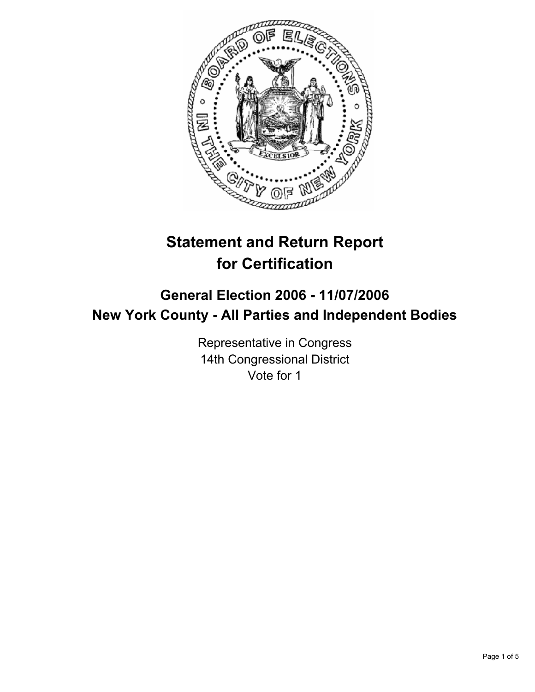

# **Statement and Return Report for Certification**

# **General Election 2006 - 11/07/2006 New York County - All Parties and Independent Bodies**

Representative in Congress 14th Congressional District Vote for 1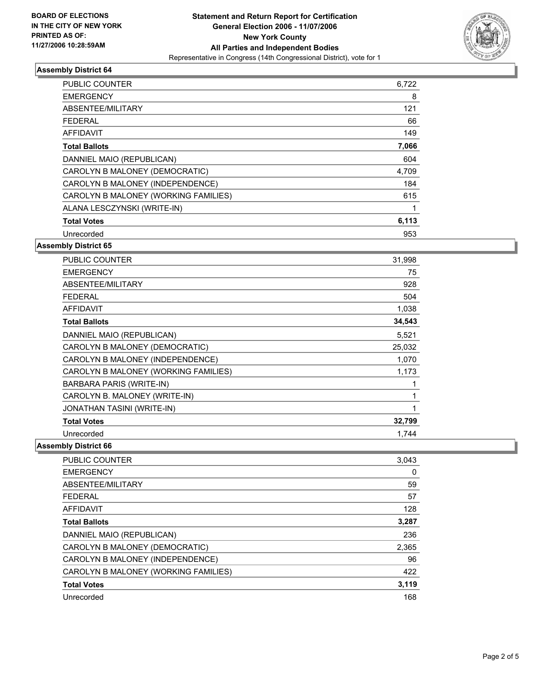

## **Assembly District 64**

| <b>PUBLIC COUNTER</b>                | 6,722 |
|--------------------------------------|-------|
| <b>EMERGENCY</b>                     | 8     |
| ABSENTEE/MILITARY                    | 121   |
| <b>FEDERAL</b>                       | 66    |
| AFFIDAVIT                            | 149   |
| <b>Total Ballots</b>                 | 7,066 |
| DANNIEL MAIO (REPUBLICAN)            | 604   |
| CAROLYN B MALONEY (DEMOCRATIC)       | 4,709 |
| CAROLYN B MALONEY (INDEPENDENCE)     | 184   |
| CAROLYN B MALONEY (WORKING FAMILIES) | 615   |
| ALANA LESCZYNSKI (WRITE-IN)          |       |
| <b>Total Votes</b>                   | 6,113 |
| Unrecorded                           | 953   |

### **Assembly District 65**

| PUBLIC COUNTER                       | 31,998 |
|--------------------------------------|--------|
| <b>EMERGENCY</b>                     | 75     |
| ABSENTEE/MILITARY                    | 928    |
| <b>FEDERAL</b>                       | 504    |
| <b>AFFIDAVIT</b>                     | 1,038  |
| <b>Total Ballots</b>                 | 34,543 |
| DANNIEL MAIO (REPUBLICAN)            | 5,521  |
| CAROLYN B MALONEY (DEMOCRATIC)       | 25,032 |
| CAROLYN B MALONEY (INDEPENDENCE)     | 1,070  |
| CAROLYN B MALONEY (WORKING FAMILIES) | 1,173  |
| <b>BARBARA PARIS (WRITE-IN)</b>      |        |
| CAROLYN B. MALONEY (WRITE-IN)        |        |
| JONATHAN TASINI (WRITE-IN)           |        |
| <b>Total Votes</b>                   | 32,799 |
| Unrecorded                           | 1.744  |

### **Assembly District 66**

| <b>PUBLIC COUNTER</b>                | 3,043 |
|--------------------------------------|-------|
| <b>EMERGENCY</b>                     | 0     |
| ABSENTEE/MILITARY                    | 59    |
| <b>FEDERAL</b>                       | 57    |
| <b>AFFIDAVIT</b>                     | 128   |
| <b>Total Ballots</b>                 | 3,287 |
| DANNIEL MAIO (REPUBLICAN)            | 236   |
| CAROLYN B MALONEY (DEMOCRATIC)       | 2,365 |
| CAROLYN B MALONEY (INDEPENDENCE)     | 96    |
| CAROLYN B MALONEY (WORKING FAMILIES) | 422   |
| <b>Total Votes</b>                   | 3,119 |
| Unrecorded                           | 168   |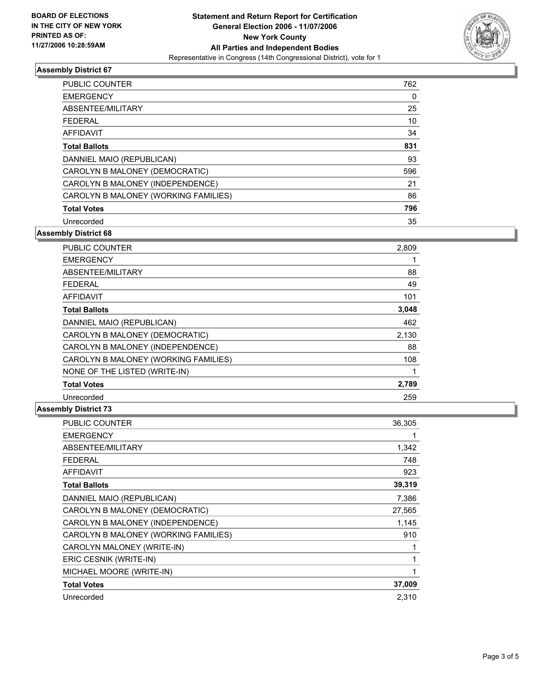

### **Assembly District 67**

| <b>PUBLIC COUNTER</b>                | 762 |
|--------------------------------------|-----|
| <b>EMERGENCY</b>                     | 0   |
| ABSENTEE/MILITARY                    | 25  |
| <b>FEDERAL</b>                       | 10  |
| AFFIDAVIT                            | 34  |
| <b>Total Ballots</b>                 | 831 |
| DANNIEL MAIO (REPUBLICAN)            | 93  |
| CAROLYN B MALONEY (DEMOCRATIC)       | 596 |
| CAROLYN B MALONEY (INDEPENDENCE)     | 21  |
| CAROLYN B MALONEY (WORKING FAMILIES) | 86  |
| <b>Total Votes</b>                   | 796 |
| Unrecorded                           | 35  |

**Assembly District 68**

| <b>PUBLIC COUNTER</b>                | 2,809 |  |
|--------------------------------------|-------|--|
| <b>EMERGENCY</b>                     |       |  |
| ABSENTEE/MILITARY                    | 88    |  |
| <b>FEDERAL</b>                       | 49    |  |
| <b>AFFIDAVIT</b>                     | 101   |  |
| <b>Total Ballots</b>                 | 3,048 |  |
| DANNIEL MAIO (REPUBLICAN)            | 462   |  |
| CAROLYN B MALONEY (DEMOCRATIC)       | 2,130 |  |
| CAROLYN B MALONEY (INDEPENDENCE)     | 88    |  |
| CAROLYN B MALONEY (WORKING FAMILIES) | 108   |  |
| NONE OF THE LISTED (WRITE-IN)        |       |  |
| <b>Total Votes</b>                   | 2,789 |  |
| Unrecorded                           | 259   |  |

### **Assembly District 73**

| <b>PUBLIC COUNTER</b>                | 36,305 |
|--------------------------------------|--------|
| <b>EMERGENCY</b>                     |        |
| ABSENTEE/MILITARY                    | 1,342  |
| <b>FEDERAL</b>                       | 748    |
| <b>AFFIDAVIT</b>                     | 923    |
| <b>Total Ballots</b>                 | 39,319 |
| DANNIEL MAIO (REPUBLICAN)            | 7,386  |
| CAROLYN B MALONEY (DEMOCRATIC)       | 27,565 |
| CAROLYN B MALONEY (INDEPENDENCE)     | 1,145  |
| CAROLYN B MALONEY (WORKING FAMILIES) | 910    |
| CAROLYN MALONEY (WRITE-IN)           |        |
| ERIC CESNIK (WRITE-IN)               |        |
| MICHAEL MOORE (WRITE-IN)             |        |
| <b>Total Votes</b>                   | 37,009 |
| Unrecorded                           | 2,310  |
|                                      |        |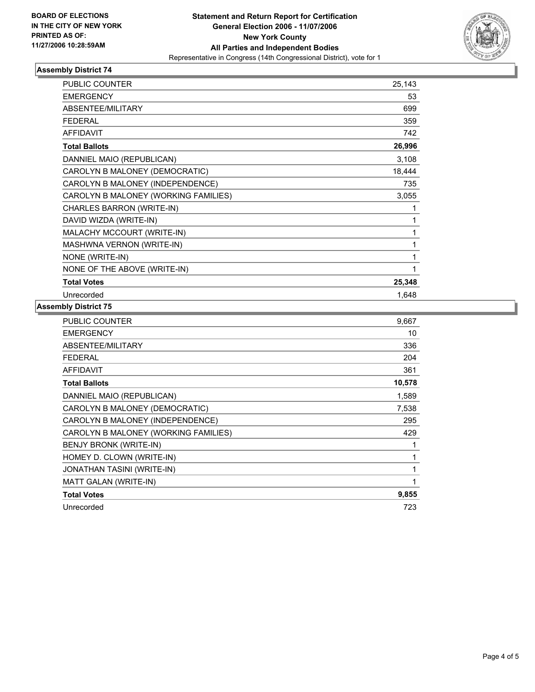

### **Assembly District 74**

| <b>PUBLIC COUNTER</b>                | 25,143 |
|--------------------------------------|--------|
| <b>EMERGENCY</b>                     | 53     |
| ABSENTEE/MILITARY                    | 699    |
| <b>FEDERAL</b>                       | 359    |
| <b>AFFIDAVIT</b>                     | 742    |
| <b>Total Ballots</b>                 | 26,996 |
| DANNIEL MAIO (REPUBLICAN)            | 3,108  |
| CAROLYN B MALONEY (DEMOCRATIC)       | 18,444 |
| CAROLYN B MALONEY (INDEPENDENCE)     | 735    |
| CAROLYN B MALONEY (WORKING FAMILIES) | 3,055  |
| CHARLES BARRON (WRITE-IN)            |        |
| DAVID WIZDA (WRITE-IN)               |        |
| MALACHY MCCOURT (WRITE-IN)           |        |
| MASHWNA VERNON (WRITE-IN)            |        |
| NONE (WRITE-IN)                      |        |
| NONE OF THE ABOVE (WRITE-IN)         |        |
| <b>Total Votes</b>                   | 25,348 |
| Unrecorded                           | 1,648  |

#### **Assembly District 75**

| <b>PUBLIC COUNTER</b><br>9,667          |     |
|-----------------------------------------|-----|
| <b>EMERGENCY</b>                        | 10  |
| ABSENTEE/MILITARY                       | 336 |
| <b>FEDERAL</b>                          | 204 |
| <b>AFFIDAVIT</b>                        | 361 |
| 10,578<br><b>Total Ballots</b>          |     |
| DANNIEL MAIO (REPUBLICAN)<br>1,589      |     |
| CAROLYN B MALONEY (DEMOCRATIC)<br>7,538 |     |
| CAROLYN B MALONEY (INDEPENDENCE)        | 295 |
| CAROLYN B MALONEY (WORKING FAMILIES)    | 429 |
| BENJY BRONK (WRITE-IN)                  |     |
| HOMEY D. CLOWN (WRITE-IN)               |     |
| JONATHAN TASINI (WRITE-IN)              |     |
| MATT GALAN (WRITE-IN)                   |     |
| <b>Total Votes</b><br>9,855             |     |
| Unrecorded                              | 723 |